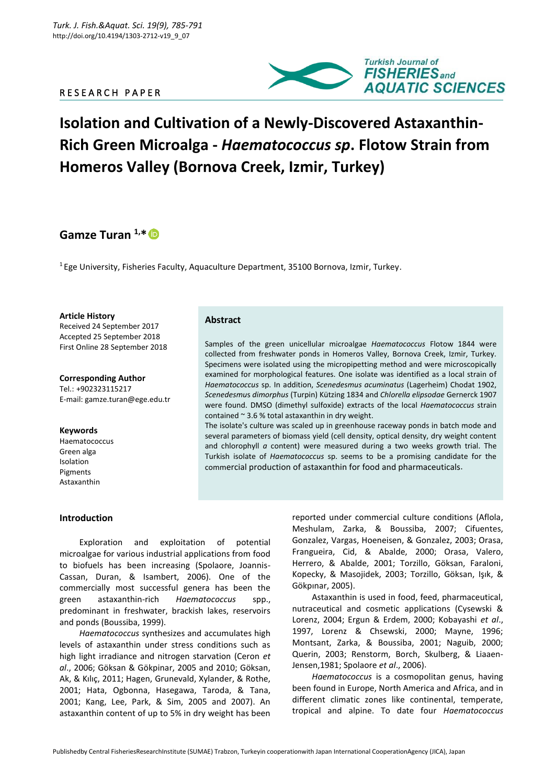### R E S E A R C H P A P E R



# **Isolation and Cultivation of a Newly-Discovered Astaxanthin-Rich Green Microalga -** *Haematococcus sp***. Flotow Strain from Homeros Valley (Bornova Creek, Izmir, Turkey)**

## **Gamze Turan 1,\***

 $1$  Ege University, Fisheries Faculty, Aquaculture Department, 35100 Bornova, Izmir, Turkey.

**Article History**

Received 24 September 2017 Accepted 25 September 2018 First Online 28 September 2018

**Corresponding Author** Tel.: +902323115217 E-mail: gamze.turan@ege.edu.tr

#### **Keywords**

Haematococcus Green alga Isolation Pigments Astaxanthin

**Introduction** 

## **Abstract**

Samples of the green unicellular microalgae *Haematococcus* Flotow 1844 were collected from freshwater ponds in Homeros Valley, Bornova Creek, Izmir, Turkey. Specimens were isolated using the micropipetting method and were microscopically examined for morphological features. One isolate was identified as a local strain of *Haematococcus* sp. In addition, *Scenedesmus acuminatus* (Lagerheim) Chodat 1902, *Scenedesmu*s *dimorphus* (Turpin) Kützing 1834 and *Chlorella elipsodae* Gernerck 1907 were found. DMSO (dimethyl sulfoxide) extracts of the local *Haematococcus* strain contained ~ 3.6 % total astaxanthin in dry weight.

The isolate's culture was scaled up in greenhouse raceway ponds in batch mode and several parameters of biomass yield (cell density, optical density, dry weight content and chlorophyll *a* content) were measured during a two weeks growth trial. The Turkish isolate of *Haematococcus* sp. seems to be a promising candidate for the commercial production of astaxanthin for food and pharmaceuticals.

Exploration and exploitation of potential microalgae for various industrial applications from food to biofuels has been increasing (Spolaore, Joannis-Cassan, Duran, & Isambert, 2006). One of the commercially most successful genera has been the green astaxanthin-rich *Haematococcus* spp., predominant in freshwater, brackish lakes, reservoirs

and ponds (Boussiba, 1999). *Haematococcus* synthesizes and accumulates high levels of astaxanthin under stress conditions such as high light irradiance and nitrogen starvation (Ceron *et al*., 2006; Göksan & Gökpinar, 2005 and 2010; Göksan, Ak, & Kılıç, 2011; Hagen, Grunevald, Xylander, & Rothe, 2001; Hata, Ogbonna, Hasegawa, Taroda, & Tana, 2001; Kang, Lee, Park, & Sim, 2005 and 2007). An astaxanthin content of up to 5% in dry weight has been

reported under commercial culture conditions (Aflola, Meshulam, Zarka, & Boussiba, 2007; Cifuentes, Gonzalez, Vargas, Hoeneisen, & Gonzalez, 2003; Orasa, Frangueira, Cid, & Abalde, 2000; Orasa, Valero, Herrero, & Abalde, 2001; Torzillo, Göksan, Faraloni, Kopecky, & Masojidek, 2003; Torzillo, Göksan, Işık, & Gökpınar, 2005).

Astaxanthin is used in food, feed, pharmaceutical, nutraceutical and cosmetic applications (Cysewski & Lorenz, 2004; Ergun & Erdem, 2000; Kobayashi *et al*., 1997, Lorenz & Chsewski, 2000; Mayne, 1996; Montsant, Zarka, & Boussiba, 2001; Naguib, 2000; Querin, 2003; Renstorm, Borch, Skulberg, & Liaaen-Jensen,1981; Spolaore *et al*., 2006).

*Haematococcus* is a cosmopolitan genus, having been found in Europe, North America and Africa, and in different climatic zones like continental, temperate, tropical and alpine. To date four *Haematococcus*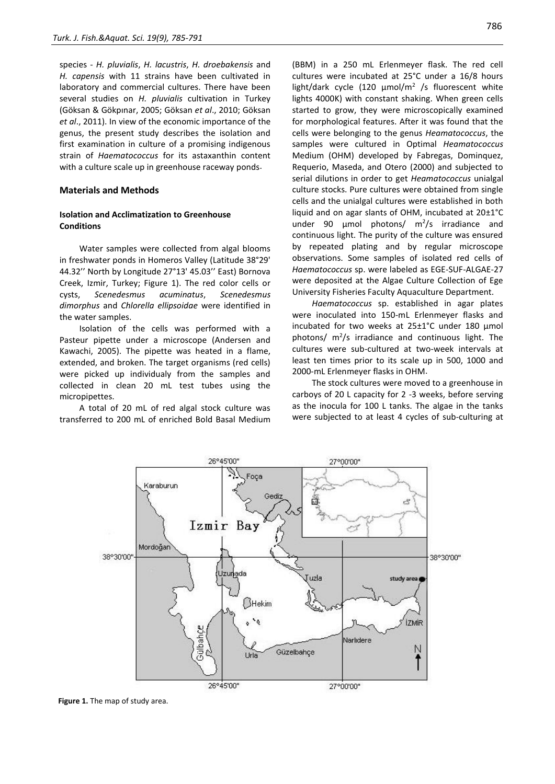species - *H. pluvialis*, *H. lacustris*, *H. droebakensis* and *H. capensis* with 11 strains have been cultivated in laboratory and commercial cultures. There have been several studies on *H. pluvialis* cultivation in Turkey (Göksan & Gökpınar, 2005; Göksan *et al*., 2010; Göksan *et al*., 2011). In view of the economic importance of the genus, the present study describes the isolation and first examination in culture of a promising indigenous strain of *Haematococcus* for its astaxanthin content with a culture scale up in greenhouse raceway ponds.

#### **Materials and Methods**

#### **Isolation and Acclimatization to Greenhouse Conditions**

Water samples were collected from algal blooms in freshwater ponds in Homeros Valley (Latitude 38°29' 44.32'' North by Longitude 27°13' 45.03'' East) Bornova Creek, Izmir, Turkey; Figure 1). The red color cells or cysts, *Scenedesmus acuminatus*, *Scenedesmus dimorphus* and *Chlorella ellipsoidae* were identified in the water samples.

Isolation of the cells was performed with a Pasteur pipette under a microscope (Andersen and Kawachi, 2005). The pipette was heated in a flame, extended, and broken. The target organisms (red cells) were picked up individualy from the samples and collected in clean 20 mL test tubes using the micropipettes.

A total of 20 mL of red algal stock culture was transferred to 200 mL of enriched Bold Basal Medium (BBM) in a 250 mL Erlenmeyer flask. The red cell cultures were incubated at 25°C under a 16/8 hours light/dark cycle (120 μmol/m<sup>2</sup> /s fluorescent white lights 4000K) with constant shaking. When green cells started to grow, they were microscopically examined for morphological features. After it was found that the cells were belonging to the genus *Heamatococcus*, the samples were cultured in Optimal *Heamatococcus* Medium (OHM) developed by Fabregas, Dominquez, Requerio, Maseda, and Otero (2000) and subjected to serial dilutions in order to get *Heamatococcus* unialgal culture stocks. Pure cultures were obtained from single cells and the unialgal cultures were established in both liquid and on agar slants of OHM, incubated at 20±1°C under 90  $\mu$ mol photons/  $m^2/s$  irradiance and continuous light. The purity of the culture was ensured by repeated plating and by regular microscope observations. Some samples of isolated red cells of *Haematococcus* sp. were labeled as EGE-SUF-ALGAE-27 were deposited at the Algae Culture Collection of Ege University Fisheries Faculty Aquaculture Department.

*Haematococcus* sp. established in agar plates were inoculated into 150-mL Erlenmeyer flasks and incubated for two weeks at 25±1°C under 180 µmol photons/  $m^2/s$  irradiance and continuous light. The cultures were sub-cultured at two-week intervals at least ten times prior to its scale up in 500, 1000 and 2000-mL Erlenmeyer flasks in OHM.

The stock cultures were moved to a greenhouse in carboys of 20 L capacity for 2 -3 weeks, before serving as the inocula for 100 L tanks. The algae in the tanks were subjected to at least 4 cycles of sub-culturing at



**Figure 1.** The map of study area.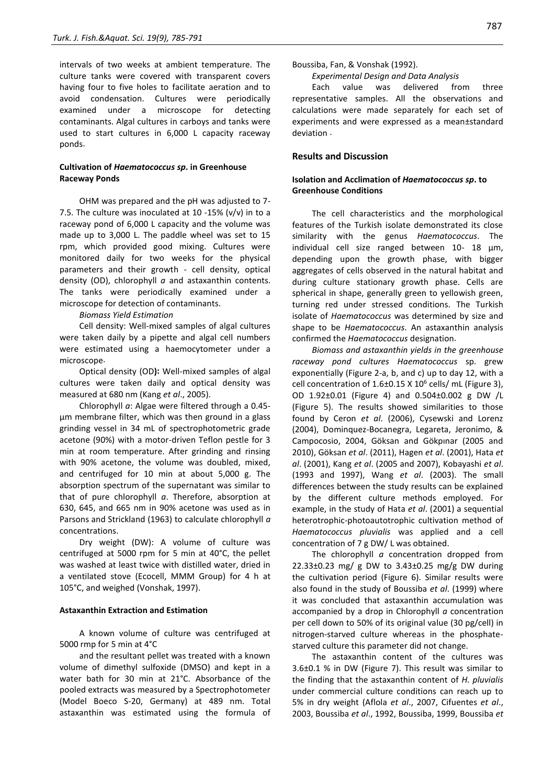intervals of two weeks at ambient temperature. The culture tanks were covered with transparent covers having four to five holes to facilitate aeration and to avoid condensation. Cultures were periodically examined under a microscope for detecting contaminants. Algal cultures in carboys and tanks were used to start cultures in 6,000 L capacity raceway ponds.

#### **Cultivation of** *Haematococcus sp***. in Greenhouse Raceway Ponds**

OHM was prepared and the pH was adjusted to 7- 7.5. The culture was inoculated at 10 -15% ( $v/v$ ) in to a raceway pond of 6,000 L capacity and the volume was made up to 3,000 L. The paddle wheel was set to 15 rpm, which provided good mixing. Cultures were monitored daily for two weeks for the physical parameters and their growth - cell density, optical density (OD), chlorophyll *a* and astaxanthin contents. The tanks were periodically examined under a microscope for detection of contaminants.

#### *Biomass Yield Estimation*

Cell density: Well-mixed samples of algal cultures were taken daily by a pipette and algal cell numbers were estimated using a haemocytometer under a microscope.

Optical density (OD): Well-mixed samples of algal cultures were taken daily and optical density was measured at 680 nm (Kang *et al*., 2005).

Chlorophyll *a*: Algae were filtered through a 0.45 µm membrane filter, which was then ground in a glass grinding vessel in 34 mL of spectrophotometric grade acetone (90%) with a motor-driven Teflon pestle for 3 min at room temperature. After grinding and rinsing with 90% acetone, the volume was doubled, mixed, and centrifuged for 10 min at about 5,000 g. The absorption spectrum of the supernatant was similar to that of pure chlorophyll *a*. Therefore, absorption at 630, 645, and 665 nm in 90% acetone was used as in Parsons and Strickland (1963) to calculate chlorophyll *a* concentrations.

Dry weight (DW): A volume of culture was centrifuged at 5000 rpm for 5 min at 40°C, the pellet was washed at least twice with distilled water, dried in a ventilated stove (Ecocell, MMM Group) for 4 h at 105°C, and weighed (Vonshak, 1997).

#### **Astaxanthin Extraction and Estimation**

A known volume of culture was centrifuged at 5000 rmp for 5 min at 4°C

and the resultant pellet was treated with a known volume of dimethyl sulfoxide (DMSO) and kept in a water bath for 30 min at 21°C. Absorbance of the pooled extracts was measured by a Spectrophotometer (Model Boeco S-20, Germany) at 489 nm. Total astaxanthin was estimated using the formula of Boussiba, Fan, & Vonshak (1992).

*Experimental Design and Data Analysis*

Each value was delivered from three representative samples. All the observations and calculations were made separately for each set of experiments and were expressed as a mean±standard deviation .

#### **Results and Discussion**

#### **Isolation and Acclimation of** *Haematococcus sp***. to Greenhouse Conditions**

The cell characteristics and the morphological features of the Turkish isolate demonstrated its close similarity with the genus *Haematococcus*. The individual cell size ranged between 10- 18 μm, depending upon the growth phase, with bigger aggregates of cells observed in the natural habitat and during culture stationary growth phase. Cells are spherical in shape, generally green to yellowish green, turning red under stressed conditions. The Turkish isolate of *Haematococcus* was determined by size and shape to be *Haematococcus*. An astaxanthin analysis confirmed the *Haematococcus* designation.

*Biomass and astaxanthin yields in the greenhouse raceway pond cultures Haematococcus* sp. grew exponentially (Figure 2-a, b, and c) up to day 12, with a cell concentration of  $1.6\pm0.15$  X  $10^6$  cells/ mL (Figure 3), OD 1.92±0.01 (Figure 4) and 0.504±0.002 g DW /L (Figure 5). The results showed similarities to those found by Ceron *et al*. (2006), Cysewski and Lorenz (2004), Dominquez-Bocanegra, Legareta, Jeronimo, & Campocosio, 2004, Göksan and Gökpınar (2005 and 2010), Göksan *et al*. (2011), Hagen *et al*. (2001), Hata *et al*. (2001), Kang *et al*. (2005 and 2007), Kobayashi *et al*. (1993 and 1997), Wang *et al*. (2003). The small differences between the study results can be explained by the different culture methods employed. For example, in the study of Hata *et al*. (2001) a sequential heterotrophic-photoautotrophic cultivation method of *Haematococcus pluvialis* was applied and a cell concentration of 7 g DW/ L was obtained.

The chlorophyll *a* concentration dropped from 22.33±0.23 mg/ g DW to 3.43±0.25 mg/g DW during the cultivation period (Figure 6). Similar results were also found in the study of Boussiba *et al*. (1999) where it was concluded that astaxanthin accumulation was accompanied by a drop in Chlorophyll *a* concentration per cell down to 50% of its original value (30 pg/cell) in nitrogen-starved culture whereas in the phosphatestarved culture this parameter did not change.

The astaxanthin content of the cultures was 3.6±0.1 % in DW (Figure 7). This result was similar to the finding that the astaxanthin content of *H. pluvialis* under commercial culture conditions can reach up to 5% in dry weight (Aflola *et al*., 2007, Cifuentes *et al*., 2003, Boussiba *et al*., 1992, Boussiba, 1999, Boussiba *et*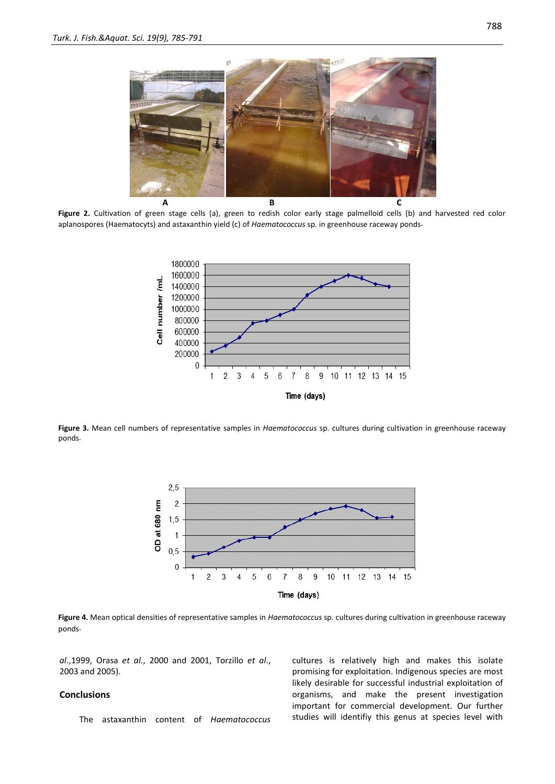

**Figure 2.** Cultivation of green stage cells (a), green to redish color early stage palmelloid cells (b) and harvested red color aplanospores (Haematocyts) and astaxanthin yield (c) of *Haematococcus* sp. in greenhouse raceway ponds.



**Figure 3.** Mean cell numbers of representative samples in *Haematococcus* sp. cultures during cultivation in greenhouse raceway ponds.



**Figure 4.** Mean optical densities of representative samples in *Haematococcus* sp. cultures during cultivation in greenhouse raceway ponds.

*al*.,1999, Orasa *et al*., 2000 and 2001, Torzillo *et al*., 2003 and 2005).

#### **Conclusions**

The astaxanthin content of *Haematococcus*

cultures is relatively high and makes this isolate promising for exploitation. Indigenous species are most likely desirable for successful industrial exploitation of organisms, and make the present investigation important for commercial development. Our further studies will identifiy this genus at species level with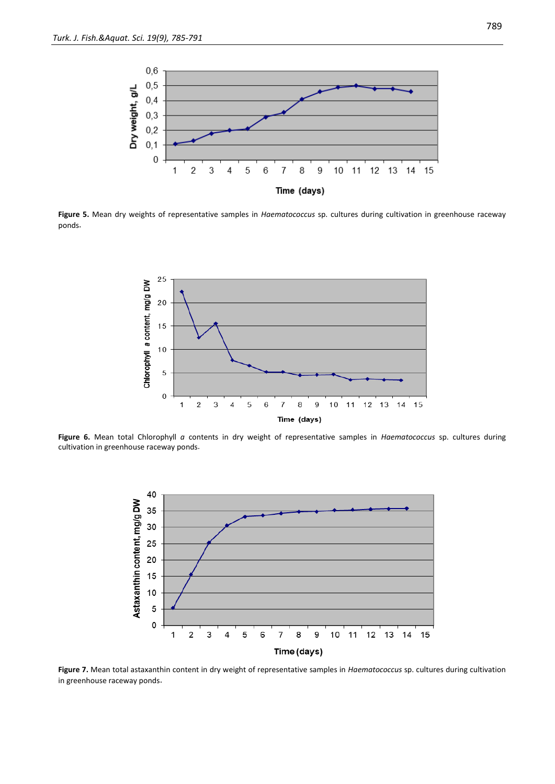

**Figure 5.** Mean dry weights of representative samples in *Haematococcus* sp. cultures during cultivation in greenhouse raceway ponds.



**Figure 6.** Mean total Chlorophyll *a* contents in dry weight of representative samples in *Haematococcus* sp. cultures during cultivation in greenhouse raceway ponds.



**Figure 7.** Mean total astaxanthin content in dry weight of representative samples in *Haematococcus* sp. cultures during cultivation in greenhouse raceway ponds.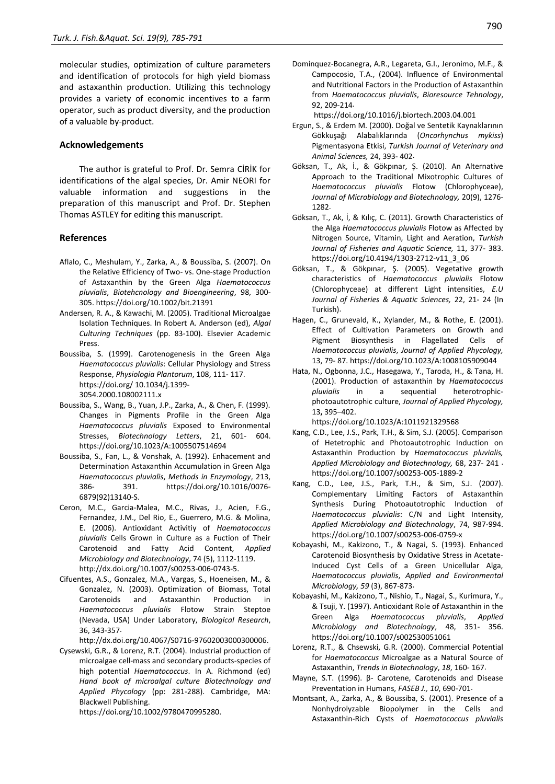molecular studies, optimization of culture parameters and identification of protocols for high yield biomass and astaxanthin production. Utilizing this technology provides a variety of economic incentives to a farm operator, such as product diversity, and the production of a valuable by-product.

#### **Acknowledgements**

The author is grateful to Prof. Dr. Semra CİRİK for identifications of the algal species, Dr. Amir NEORI for valuable information and suggestions in the preparation of this manuscript and Prof. Dr. Stephen Thomas ASTLEY for editing this manuscript.

#### **References**

- Aflalo, C., Meshulam, Y., Zarka, A., & Boussiba, S. (2007). On the Relative Efficiency of Two- vs. One-stage Production of Astaxanthin by the Green Alga *Haematococcus pluvialis*, *Biotehcnology and Bioengineering*, 98, 300- 305. https://doi.org/10.1002/bit.21391
- Andersen, R. A., & Kawachi, M. (2005). Traditional Microalgae Isolation Techniques. In Robert A. Anderson (ed), *Algal Culturing Techniques* (pp. 83-100). Elsevier Academic Press.
- Boussiba, S. (1999). Carotenogenesis in the Green Alga *Haematococcus pluvialis*: Cellular Physiology and Stress Response, *Physiologia Plantorum*, 108, 111- 117. https://doi.org/ 10.1034/j.1399- 3054.2000.108002111.x
- Boussiba, S., Wang, B., Yuan, J.P., Zarka, A., & Chen, F. (1999). Changes in Pigments Profile in the Green Alga *Haematococcus pluvialis* Exposed to Environmental Stresses, *Biotechnology Letters*, 21, 601- 604. https://doi.org/10.1023/A:1005507514694
- Boussiba, S., Fan, L., & Vonshak, A. (1992). Enhacement and Determination Astaxanthin Accumulation in Green Alga *Haematococcus pluvialis*, *Methods in Enzymology*, 213, 386- 391. [https://doi.org/10.1016/0076-](https://doi.org/10.1016/0076-6879(92)13140-S) [6879\(92\)13140-S.](https://doi.org/10.1016/0076-6879(92)13140-S)
- Ceron, M.C., Garcia-Malea, M.C., Rivas, J., Acien, F.G., Fernandez, J.M., Del Rio, E., Guerrero, M.G. & Molina, E. (2006). Antioxidant Activitiy of *Haematococcus pluvialis* Cells Grown in Culture as a Fuction of Their Carotenoid and Fatty Acid Content, *Applied Microbiology and Biotechnology*, 74 (5), 1112-1119. http://dx.doi.org/10.1007/s00253-006-0743-5.
- Cifuentes, A.S., Gonzalez, M.A., Vargas, S., Hoeneisen, M., & Gonzalez, N. (2003). Optimization of Biomass, Total Carotenoids and Astaxanthin Production in *Haematococcus pluvialis* Flotow Strain Steptoe (Nevada, USA) Under Laboratory, *Biological Research*, 36, 343-357.

http://dx.doi.org/10.4067/S0716-97602003000300006.

Cysewski, G.R., & Lorenz, R.T. (2004). Industrial production of microalgae cell-mass and secondary products-species of high potential *Haematococcus*. In A. Richmond (ed) *Hand book of microalgal culture Biotechnology and Applied Phycology* (pp: 281-288). Cambridge, MA: Blackwell Publishing.

https://doi.org/10.1002/9780470995280.

Dominquez-Bocanegra, A.R., Legareta, G.I., Jeronimo, M.F., & Campocosio, T.A., (2004). Influence of Environmental and Nutritional Factors in the Production of Astaxanthin from *Haematococcus pluvialis*, *Bioresource Tehnology*, 92, 209-214.

https://doi.org/10.1016/j.biortech.2003.04.001

- Ergun, S., & Erdem M. (2000). Doğal ve Sentetik Kaynaklarının Gökkuşağı Alabalıklarında (*Oncorhynchus mykiss*) Pigmentasyona Etkisi, *Turkish Journal of Veterinary and Animal Sciences,* 24, 393- 402.
- Göksan, T., Ak, İ., & Gökpınar, Ş. (2010). An Alternative Approach to the Traditional Mixotrophic Cultures of *Haematococcus pluvialis* Flotow (Chlorophyceae), *Journal of Microbiology and Biotechnology,* 20(9), 1276- 1282.
- Göksan, T., Ak, İ, & Kılıç, C. (2011). Growth Characteristics of the Alga *Haematococcus pluvialis* Flotow as Affected by Nitrogen Source, Vitamin, Light and Aeration, *Turkish Journal of Fisheries and Aquatic Science,* 11, 377- 383. https://doi.org/10.4194/1303-2712-v11\_3\_06
- Göksan, T., & Gökpınar, Ş. (2005). Vegetative growth characteristics of *Haematococcus pluvialis* Flotow (Chlorophyceae) at different Light intensities, *E.U Journal of Fisheries & Aquatic Sciences,* 22, 21- 24 (In Turkish).
- Hagen, C., Grunevald, K., Xylander, M., & Rothe, E. (2001). Effect of Cultivation Parameters on Growth and Pigment Biosynthesis in Flagellated Cells of *Haematococcus pluvialis*, *Journal of Applied Phycology,* 13, 79- 87[. https://doi.org/10.1023/A:1008105909044](https://doi.org/10.1023/A:1008105909044)
- Hata, N., Ogbonna, J.C., Hasegawa, Y., Taroda, H., & Tana, H. (2001). Production of astaxanthin by *Haematococcus pluvialis* in a sequential heterotrophicphotoautotrophic culture, *Journal of Applied Phycology,*  13**,** 395–402.

<https://doi.org/10.1023/A:1011921329568>

- Kang, C.D., Lee, J.S., Park, T.H., & Sim, S.J. (2005). Comparison of Hetetrophic and Photoautotrophic Induction on Astaxanthin Production by *Haematococcus pluvialis, Applied Microbiology and Biotechnology,* 68, 237- 241 . https://doi.org/10.1007/s00253-005-1889-2
- Kang, C.D., Lee, J.S., Park, T.H., & Sim, S.J. (2007). Complementary Limiting Factors of Astaxanthin Synthesis During Photoautotrophic Induction of *Haematococcus pluvialis*: C/N and Light Intensity, *Applied Microbiology and Biotechnology*, 74, 987-994. https://doi.org[/10.1007/s00253-006-0759-x](http://dx.doi.org/10.1007/s00253-006-0759-x)
- Kobayashi, M., Kakizono, T., & Nagai, S. (1993). Enhanced Carotenoid Biosynthesis by Oxidative Stress in Acetate-Induced Cyst Cells of a Green Unicellular Alga, *Haematococcus pluvialis*, *Applied and Environmental Microbiology, 59* (3), 867-873.
- Kobayashi, M., Kakizono, T., Nishio, T., Nagai, S., Kurimura, Y., & Tsuji, Y. (1997). Antioxidant Role of Astaxanthin in the Green Alga *Haematococcus pluvialis*, *Applied Microbiology and Biotechnology*, 48, 351- 356. <https://doi.org/10.1007/s002530051061>
- Lorenz, R.T., & Chsewski, G.R. (2000). Commercial Potential for *Haematococcus* Microalgae as a Natural Source of Astaxanthin, *Trends in Biotechnology*, *18*, 160- 167.
- Mayne, S.T. (1996). β- Carotene, Carotenoids and Disease Preventation in Humans, *FASEB J., 10*, 690-701.
- Montsant, A., Zarka, A., & Boussiba, S. (2001). Presence of a Nonhydrolyzable Biopolymer in the Cells and Astaxanthin-Rich Cysts of *Haematococcus pluvialis*